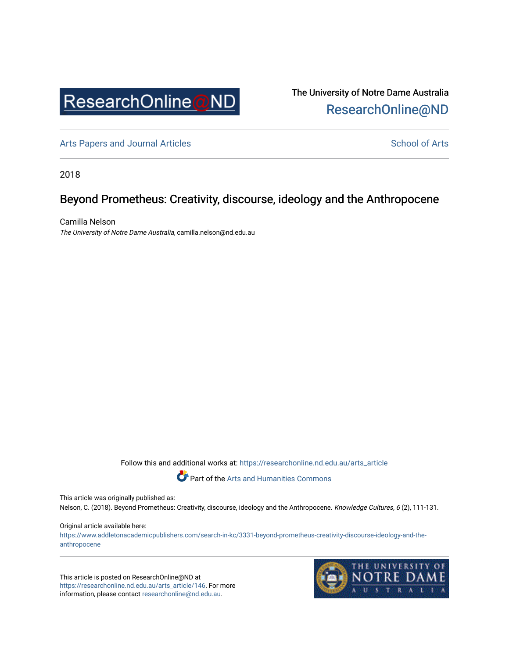

The University of Notre Dame Australia [ResearchOnline@ND](https://researchonline.nd.edu.au/) 

[Arts Papers and Journal Articles](https://researchonline.nd.edu.au/arts_article) and [School of Arts](https://researchonline.nd.edu.au/arts) School of Arts

2018

## Beyond Prometheus: Creativity, discourse, ideology and the Anthropocene

Camilla Nelson The University of Notre Dame Australia, camilla.nelson@nd.edu.au

Follow this and additional works at: [https://researchonline.nd.edu.au/arts\\_article](https://researchonline.nd.edu.au/arts_article?utm_source=researchonline.nd.edu.au%2Farts_article%2F146&utm_medium=PDF&utm_campaign=PDFCoverPages) 

Part of the [Arts and Humanities Commons](http://network.bepress.com/hgg/discipline/438?utm_source=researchonline.nd.edu.au%2Farts_article%2F146&utm_medium=PDF&utm_campaign=PDFCoverPages) 

This article was originally published as:

Nelson, C. (2018). Beyond Prometheus: Creativity, discourse, ideology and the Anthropocene. Knowledge Cultures, 6 (2), 111-131.

#### Original article available here:

[https://www.addletonacademicpublishers.com/search-in-kc/3331-beyond-prometheus-creativity-discourse-ideology-and-the](https://www.addletonacademicpublishers.com/search-in-kc/3331-beyond-prometheus-creativity-discourse-ideology-and-the-anthropocene)[anthropocene](https://www.addletonacademicpublishers.com/search-in-kc/3331-beyond-prometheus-creativity-discourse-ideology-and-the-anthropocene)

This article is posted on ResearchOnline@ND at [https://researchonline.nd.edu.au/arts\\_article/146](https://researchonline.nd.edu.au/arts_article/146). For more information, please contact [researchonline@nd.edu.au.](mailto:researchonline@nd.edu.au)

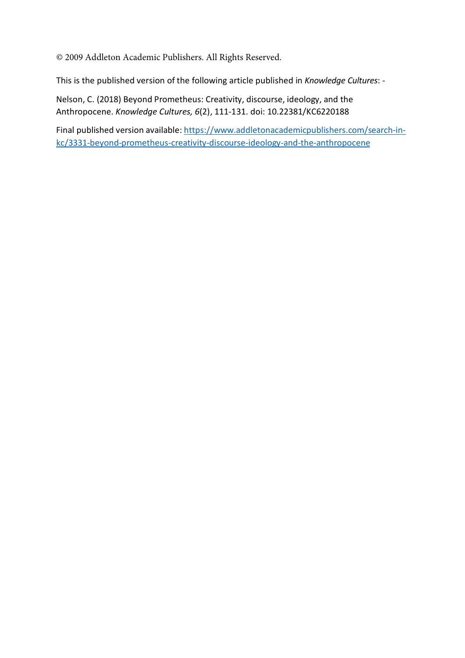© 2009 Addleton Academic Publishers. All Rights Reserved.

This is the published version of the following article published in *Knowledge Cultures*: -

Nelson, C. (2018) Beyond Prometheus: Creativity, discourse, ideology, and the Anthropocene. *Knowledge Cultures, 6*(2), 111-131. doi: 10.22381/KC6220188

Final published version available[: https://www.addletonacademicpublishers.com/search-in](https://www.addletonacademicpublishers.com/search-in-kc/3331-beyond-prometheus-creativity-discourse-ideology-and-the-anthropocene)[kc/3331-beyond-prometheus-creativity-discourse-ideology-and-the-anthropocene](https://www.addletonacademicpublishers.com/search-in-kc/3331-beyond-prometheus-creativity-discourse-ideology-and-the-anthropocene)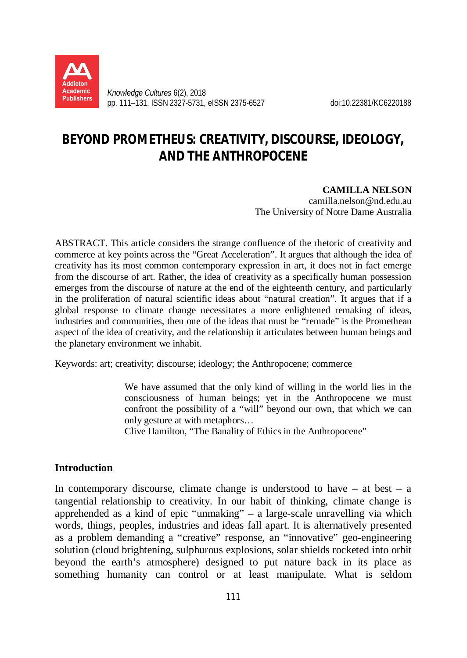

*Knowledge Cultures* 6(2), 2018 pp. 111–131, ISSN 2327-5731, eISSN 2375-6527 doi:10.22381/KC6220188

# **BEYOND PROMETHEUS: CREATIVITY, DISCOURSE, IDEOLOGY, AND THE ANTHROPOCENE**

### **CAMILLA NELSON**

camilla.nelson@nd.edu.au The University of Notre Dame Australia

ABSTRACT. This article considers the strange confluence of the rhetoric of creativity and commerce at key points across the "Great Acceleration". It argues that although the idea of creativity has its most common contemporary expression in art, it does not in fact emerge from the discourse of art. Rather, the idea of creativity as a specifically human possession emerges from the discourse of nature at the end of the eighteenth century, and particularly in the proliferation of natural scientific ideas about "natural creation". It argues that if a global response to climate change necessitates a more enlightened remaking of ideas, industries and communities, then one of the ideas that must be "remade" is the Promethean aspect of the idea of creativity, and the relationship it articulates between human beings and the planetary environment we inhabit.

Keywords: art; creativity; discourse; ideology; the Anthropocene; commerce

We have assumed that the only kind of willing in the world lies in the consciousness of human beings; yet in the Anthropocene we must confront the possibility of a "will" beyond our own, that which we can only gesture at with metaphors…

Clive Hamilton, "The Banality of Ethics in the Anthropocene"

## **Introduction**

In contemporary discourse, climate change is understood to have  $-$  at best  $-$  a tangential relationship to creativity. In our habit of thinking, climate change is apprehended as a kind of epic "unmaking" – a large-scale unravelling via which words, things, peoples, industries and ideas fall apart. It is alternatively presented as a problem demanding a "creative" response, an "innovative" geo-engineering solution (cloud brightening, sulphurous explosions, solar shields rocketed into orbit beyond the earth's atmosphere) designed to put nature back in its place as something humanity can control or at least manipulate. What is seldom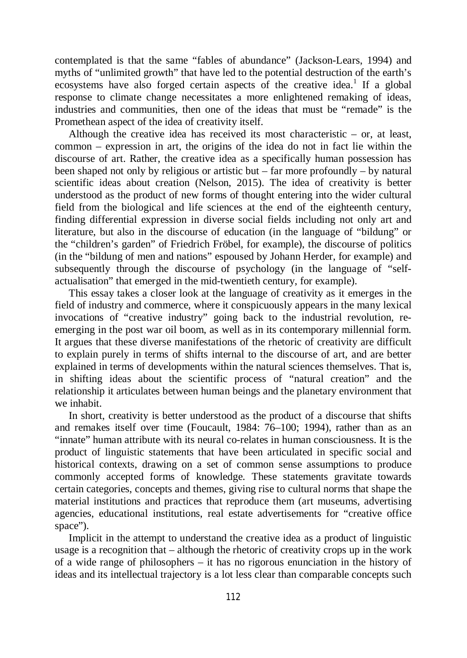contemplated is that the same "fables of abundance" (Jackson-Lears, 1994) and myths of "unlimited growth" that have led to the potential destruction of the earth's ecosystems have also forged certain aspects of the creative idea.<sup>1</sup> If a global response to climate change necessitates a more enlightened remaking of ideas, industries and communities, then one of the ideas that must be "remade" is the Promethean aspect of the idea of creativity itself.

Although the creative idea has received its most characteristic – or, at least, common – expression in art, the origins of the idea do not in fact lie within the discourse of art. Rather, the creative idea as a specifically human possession has been shaped not only by religious or artistic but – far more profoundly – by natural scientific ideas about creation (Nelson, 2015). The idea of creativity is better understood as the product of new forms of thought entering into the wider cultural field from the biological and life sciences at the end of the eighteenth century, finding differential expression in diverse social fields including not only art and literature, but also in the discourse of education (in the language of "bildung" or the "children's garden" of Friedrich Fröbel, for example), the discourse of politics (in the "bildung of men and nations" espoused by Johann Herder, for example) and subsequently through the discourse of psychology (in the language of "selfactualisation" that emerged in the mid-twentieth century, for example).

This essay takes a closer look at the language of creativity as it emerges in the field of industry and commerce, where it conspicuously appears in the many lexical invocations of "creative industry" going back to the industrial revolution, reemerging in the post war oil boom, as well as in its contemporary millennial form. It argues that these diverse manifestations of the rhetoric of creativity are difficult to explain purely in terms of shifts internal to the discourse of art, and are better explained in terms of developments within the natural sciences themselves. That is, in shifting ideas about the scientific process of "natural creation" and the relationship it articulates between human beings and the planetary environment that we inhabit.

In short, creativity is better understood as the product of a discourse that shifts and remakes itself over time (Foucault, 1984: 76–100; 1994), rather than as an "innate" human attribute with its neural co-relates in human consciousness. It is the product of linguistic statements that have been articulated in specific social and historical contexts, drawing on a set of common sense assumptions to produce commonly accepted forms of knowledge. These statements gravitate towards certain categories, concepts and themes, giving rise to cultural norms that shape the material institutions and practices that reproduce them (art museums, advertising agencies, educational institutions, real estate advertisements for "creative office space").

Implicit in the attempt to understand the creative idea as a product of linguistic usage is a recognition that – although the rhetoric of creativity crops up in the work of a wide range of philosophers – it has no rigorous enunciation in the history of ideas and its intellectual trajectory is a lot less clear than comparable concepts such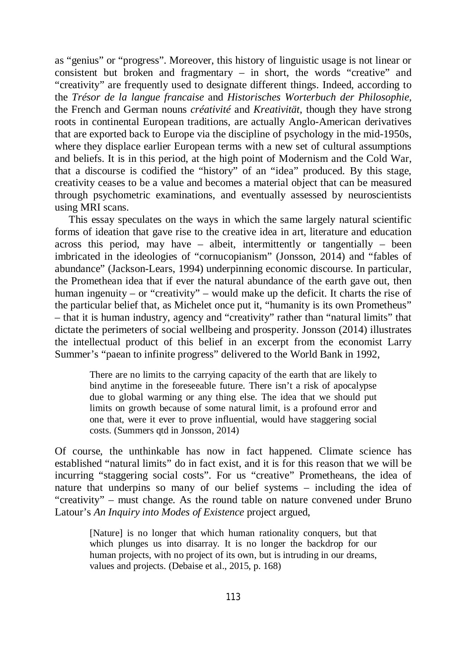as "genius" or "progress". Moreover, this history of linguistic usage is not linear or consistent but broken and fragmentary – in short, the words "creative" and "creativity" are frequently used to designate different things. Indeed, according to the *Trésor de la langue francaise* and *Historisches Worterbuch der Philosophie,* the French and German nouns *créativité* and *Kreativität*, though they have strong roots in continental European traditions, are actually Anglo-American derivatives that are exported back to Europe via the discipline of psychology in the mid-1950s, where they displace earlier European terms with a new set of cultural assumptions and beliefs. It is in this period, at the high point of Modernism and the Cold War, that a discourse is codified the "history" of an "idea" produced. By this stage, creativity ceases to be a value and becomes a material object that can be measured through psychometric examinations, and eventually assessed by neuroscientists using MRI scans.

This essay speculates on the ways in which the same largely natural scientific forms of ideation that gave rise to the creative idea in art, literature and education across this period, may have – albeit, intermittently or tangentially – been imbricated in the ideologies of "cornucopianism" (Jonsson, 2014) and "fables of abundance" (Jackson-Lears, 1994) underpinning economic discourse. In particular, the Promethean idea that if ever the natural abundance of the earth gave out, then human ingenuity – or "creativity" – would make up the deficit. It charts the rise of the particular belief that, as Michelet once put it, "humanity is its own Prometheus" – that it is human industry, agency and "creativity" rather than "natural limits" that dictate the perimeters of social wellbeing and prosperity. Jonsson (2014) illustrates the intellectual product of this belief in an excerpt from the economist Larry Summer's "paean to infinite progress" delivered to the World Bank in 1992,

There are no limits to the carrying capacity of the earth that are likely to bind anytime in the foreseeable future. There isn't a risk of apocalypse due to global warming or any thing else. The idea that we should put limits on growth because of some natural limit, is a profound error and one that, were it ever to prove influential, would have staggering social costs. (Summers qtd in Jonsson, 2014)

Of course, the unthinkable has now in fact happened. Climate science has established "natural limits" do in fact exist, and it is for this reason that we will be incurring "staggering social costs". For us "creative" Prometheans, the idea of nature that underpins so many of our belief systems – including the idea of "creativity" – must change. As the round table on nature convened under Bruno Latour's *An Inquiry into Modes of Existence* project argued,

[Nature] is no longer that which human rationality conquers, but that which plunges us into disarray. It is no longer the backdrop for our human projects, with no project of its own, but is intruding in our dreams, values and projects. (Debaise et al., 2015, p. 168)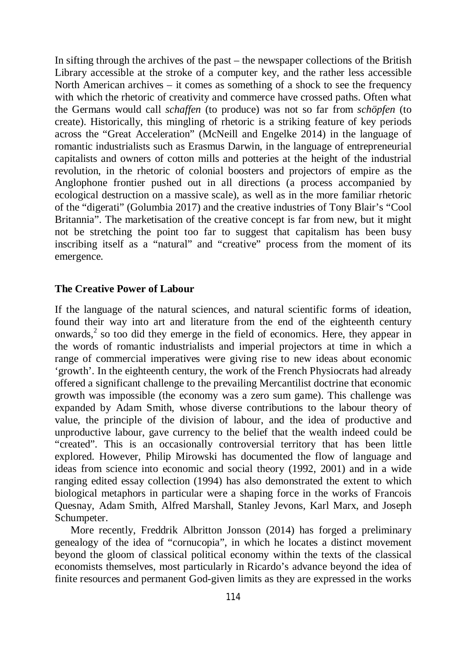In sifting through the archives of the past – the newspaper collections of the British Library accessible at the stroke of a computer key, and the rather less accessible North American archives – it comes as something of a shock to see the frequency with which the rhetoric of creativity and commerce have crossed paths. Often what the Germans would call *schaffen* (to produce) was not so far from *schöpfen* (to create). Historically, this mingling of rhetoric is a striking feature of key periods across the "Great Acceleration" (McNeill and Engelke 2014) in the language of romantic industrialists such as Erasmus Darwin, in the language of entrepreneurial capitalists and owners of cotton mills and potteries at the height of the industrial revolution, in the rhetoric of colonial boosters and projectors of empire as the Anglophone frontier pushed out in all directions (a process accompanied by ecological destruction on a massive scale), as well as in the more familiar rhetoric of the "digerati" (Golumbia 2017) and the creative industries of Tony Blair's "Cool Britannia". The marketisation of the creative concept is far from new, but it might not be stretching the point too far to suggest that capitalism has been busy inscribing itself as a "natural" and "creative" process from the moment of its emergence.

### **The Creative Power of Labour**

If the language of the natural sciences, and natural scientific forms of ideation, found their way into art and literature from the end of the eighteenth century onwards, $<sup>2</sup>$  so too did they emerge in the field of economics. Here, they appear in</sup> the words of romantic industrialists and imperial projectors at time in which a range of commercial imperatives were giving rise to new ideas about economic 'growth'. In the eighteenth century, the work of the French Physiocrats had already offered a significant challenge to the prevailing Mercantilist doctrine that economic growth was impossible (the economy was a zero sum game). This challenge was expanded by Adam Smith, whose diverse contributions to the labour theory of value, the principle of the division of labour, and the idea of productive and unproductive labour, gave currency to the belief that the wealth indeed could be "created". This is an occasionally controversial territory that has been little explored. However, Philip Mirowski has documented the flow of language and ideas from science into economic and social theory (1992, 2001) and in a wide ranging edited essay collection (1994) has also demonstrated the extent to which biological metaphors in particular were a shaping force in the works of Francois Quesnay, Adam Smith, Alfred Marshall, Stanley Jevons, Karl Marx, and Joseph Schumpeter.

 More recently, Freddrik Albritton Jonsson (2014) has forged a preliminary genealogy of the idea of "cornucopia", in which he locates a distinct movement beyond the gloom of classical political economy within the texts of the classical economists themselves, most particularly in Ricardo's advance beyond the idea of finite resources and permanent God-given limits as they are expressed in the works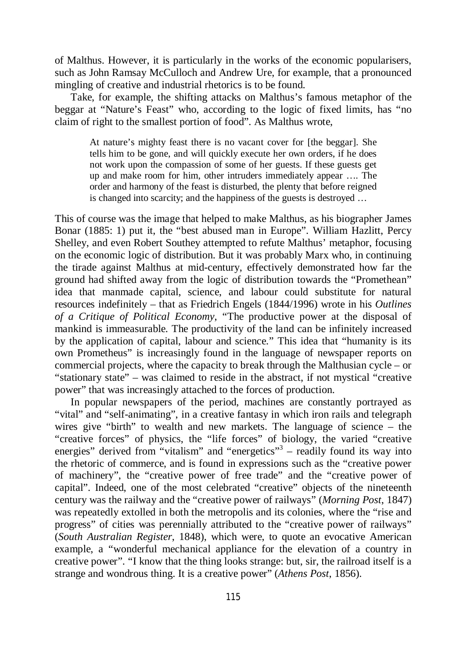of Malthus. However, it is particularly in the works of the economic popularisers, such as John Ramsay McCulloch and Andrew Ure, for example, that a pronounced mingling of creative and industrial rhetorics is to be found.

 Take, for example, the shifting attacks on Malthus's famous metaphor of the beggar at "Nature's Feast" who, according to the logic of fixed limits, has "no claim of right to the smallest portion of food". As Malthus wrote,

At nature's mighty feast there is no vacant cover for [the beggar]. She tells him to be gone, and will quickly execute her own orders, if he does not work upon the compassion of some of her guests. If these guests get up and make room for him, other intruders immediately appear …. The order and harmony of the feast is disturbed, the plenty that before reigned is changed into scarcity; and the happiness of the guests is destroyed …

This of course was the image that helped to make Malthus, as his biographer James Bonar (1885: 1) put it, the "best abused man in Europe". William Hazlitt, Percy Shelley, and even Robert Southey attempted to refute Malthus' metaphor, focusing on the economic logic of distribution. But it was probably Marx who, in continuing the tirade against Malthus at mid-century, effectively demonstrated how far the ground had shifted away from the logic of distribution towards the "Promethean" idea that manmade capital, science, and labour could substitute for natural resources indefinitely – that as Friedrich Engels (1844/1996) wrote in his *Outlines of a Critique of Political Economy*, "The productive power at the disposal of mankind is immeasurable. The productivity of the land can be infinitely increased by the application of capital, labour and science." This idea that "humanity is its own Prometheus" is increasingly found in the language of newspaper reports on commercial projects, where the capacity to break through the Malthusian cycle – or "stationary state" – was claimed to reside in the abstract, if not mystical "creative power" that was increasingly attached to the forces of production.

 In popular newspapers of the period, machines are constantly portrayed as "vital" and "self-animating", in a creative fantasy in which iron rails and telegraph wires give "birth" to wealth and new markets. The language of science – the "creative forces" of physics, the "life forces" of biology, the varied "creative energies" derived from "vitalism" and "energetics"<sup>3</sup> – readily found its way into the rhetoric of commerce, and is found in expressions such as the "creative power of machinery", the "creative power of free trade" and the "creative power of capital". Indeed, one of the most celebrated "creative" objects of the nineteenth century was the railway and the "creative power of railways" (*Morning Post*, 1847) was repeatedly extolled in both the metropolis and its colonies, where the "rise and progress" of cities was perennially attributed to the "creative power of railways" (*South Australian Register*, 1848), which were, to quote an evocative American example, a "wonderful mechanical appliance for the elevation of a country in creative power". "I know that the thing looks strange: but, sir, the railroad itself is a strange and wondrous thing. It is a creative power" (*Athens Post*, 1856).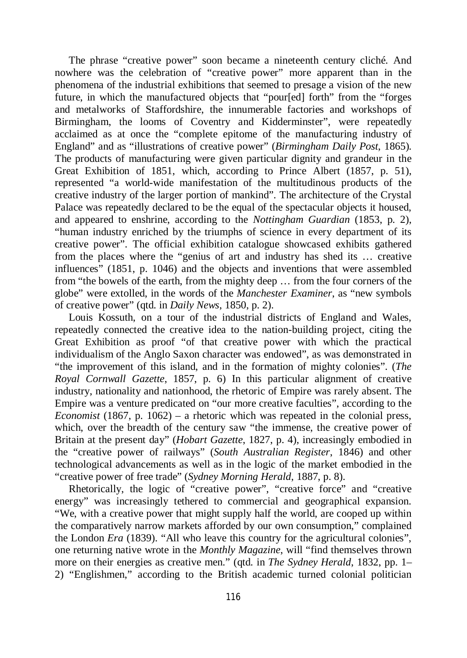The phrase "creative power" soon became a nineteenth century cliché. And nowhere was the celebration of "creative power" more apparent than in the phenomena of the industrial exhibitions that seemed to presage a vision of the new future, in which the manufactured objects that "pour[ed] forth" from the "forges and metalworks of Staffordshire, the innumerable factories and workshops of Birmingham, the looms of Coventry and Kidderminster", were repeatedly acclaimed as at once the "complete epitome of the manufacturing industry of England" and as "illustrations of creative power" (*Birmingham Daily Post*, 1865). The products of manufacturing were given particular dignity and grandeur in the Great Exhibition of 1851, which, according to Prince Albert (1857, p. 51), represented "a world-wide manifestation of the multitudinous products of the creative industry of the larger portion of mankind". The architecture of the Crystal Palace was repeatedly declared to be the equal of the spectacular objects it housed, and appeared to enshrine, according to the *Nottingham Guardian* (1853, p. 2), "human industry enriched by the triumphs of science in every department of its creative power". The official exhibition catalogue showcased exhibits gathered from the places where the "genius of art and industry has shed its … creative influences" (1851, p. 1046) and the objects and inventions that were assembled from "the bowels of the earth, from the mighty deep … from the four corners of the globe" were extolled, in the words of the *Manchester Examiner*, as "new symbols of creative power" (qtd. in *Daily News*, 1850, p. 2).

Louis Kossuth, on a tour of the industrial districts of England and Wales, repeatedly connected the creative idea to the nation-building project, citing the Great Exhibition as proof "of that creative power with which the practical individualism of the Anglo Saxon character was endowed", as was demonstrated in "the improvement of this island, and in the formation of mighty colonies". (*The Royal Cornwall Gazette*, 1857, p. 6) In this particular alignment of creative industry, nationality and nationhood, the rhetoric of Empire was rarely absent. The Empire was a venture predicated on "our more creative faculties", according to the *Economist* (1867, p. 1062) – a rhetoric which was repeated in the colonial press, which, over the breadth of the century saw "the immense, the creative power of Britain at the present day" (*Hobart Gazette*, 1827, p. 4), increasingly embodied in the "creative power of railways" (*South Australian Register*, 1846) and other technological advancements as well as in the logic of the market embodied in the "creative power of free trade" (*Sydney Morning Herald*, 1887, p. 8).

Rhetorically, the logic of "creative power", "creative force" and "creative energy" was increasingly tethered to commercial and geographical expansion. "We, with a creative power that might supply half the world, are cooped up within the comparatively narrow markets afforded by our own consumption," complained the London *Era* (1839). "All who leave this country for the agricultural colonies", one returning native wrote in the *Monthly Magazine*, will "find themselves thrown more on their energies as creative men." (qtd. in *The Sydney Herald*, 1832, pp. 1– 2) "Englishmen," according to the British academic turned colonial politician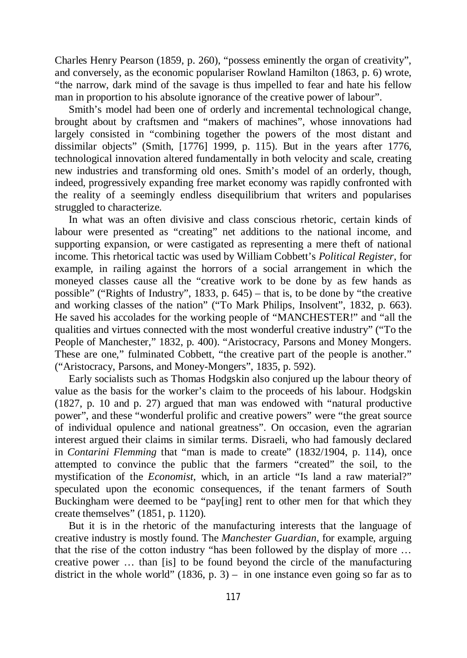Charles Henry Pearson (1859, p. 260), "possess eminently the organ of creativity", and conversely, as the economic populariser Rowland Hamilton (1863, p. 6) wrote, "the narrow, dark mind of the savage is thus impelled to fear and hate his fellow man in proportion to his absolute ignorance of the creative power of labour".

Smith's model had been one of orderly and incremental technological change, brought about by craftsmen and "makers of machines", whose innovations had largely consisted in "combining together the powers of the most distant and dissimilar objects" (Smith, [1776] 1999, p. 115). But in the years after 1776, technological innovation altered fundamentally in both velocity and scale, creating new industries and transforming old ones. Smith's model of an orderly, though, indeed, progressively expanding free market economy was rapidly confronted with the reality of a seemingly endless disequilibrium that writers and popularises struggled to characterize.

In what was an often divisive and class conscious rhetoric, certain kinds of labour were presented as "creating" net additions to the national income, and supporting expansion, or were castigated as representing a mere theft of national income. This rhetorical tactic was used by William Cobbett's *Political Register*, for example, in railing against the horrors of a social arrangement in which the moneyed classes cause all the "creative work to be done by as few hands as possible" ("Rights of Industry", 1833, p. 645) – that is, to be done by "the creative and working classes of the nation" ("To Mark Philips, Insolvent", 1832, p. 663). He saved his accolades for the working people of "MANCHESTER!" and "all the qualities and virtues connected with the most wonderful creative industry" ("To the People of Manchester," 1832, p. 400). "Aristocracy, Parsons and Money Mongers. These are one," fulminated Cobbett, "the creative part of the people is another." ("Aristocracy, Parsons, and Money-Mongers", 1835, p. 592).

Early socialists such as Thomas Hodgskin also conjured up the labour theory of value as the basis for the worker's claim to the proceeds of his labour. Hodgskin (1827, p. 10 and p. 27) argued that man was endowed with "natural productive power", and these "wonderful prolific and creative powers" were "the great source of individual opulence and national greatness". On occasion, even the agrarian interest argued their claims in similar terms. Disraeli, who had famously declared in *Contarini Flemming* that "man is made to create" (1832/1904, p. 114), once attempted to convince the public that the farmers "created" the soil, to the mystification of the *Economist*, which, in an article "Is land a raw material?" speculated upon the economic consequences, if the tenant farmers of South Buckingham were deemed to be "pay[ing] rent to other men for that which they create themselves" (1851, p. 1120).

But it is in the rhetoric of the manufacturing interests that the language of creative industry is mostly found. The *Manchester Guardian*, for example, arguing that the rise of the cotton industry "has been followed by the display of more … creative power … than [is] to be found beyond the circle of the manufacturing district in the whole world" (1836, p. 3) – in one instance even going so far as to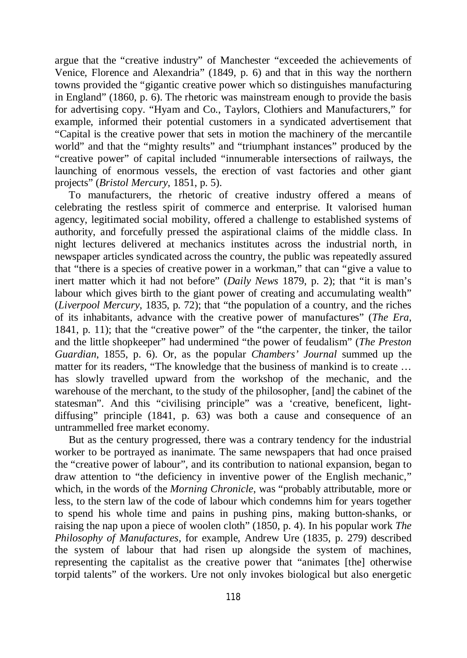argue that the "creative industry" of Manchester "exceeded the achievements of Venice, Florence and Alexandria" (1849, p. 6) and that in this way the northern towns provided the "gigantic creative power which so distinguishes manufacturing in England" (1860, p. 6). The rhetoric was mainstream enough to provide the basis for advertising copy. "Hyam and Co., Taylors, Clothiers and Manufacturers," for example, informed their potential customers in a syndicated advertisement that "Capital is the creative power that sets in motion the machinery of the mercantile world" and that the "mighty results" and "triumphant instances" produced by the "creative power" of capital included "innumerable intersections of railways, the launching of enormous vessels, the erection of vast factories and other giant projects" (*Bristol Mercury*, 1851, p. 5).

To manufacturers, the rhetoric of creative industry offered a means of celebrating the restless spirit of commerce and enterprise. It valorised human agency, legitimated social mobility, offered a challenge to established systems of authority, and forcefully pressed the aspirational claims of the middle class. In night lectures delivered at mechanics institutes across the industrial north, in newspaper articles syndicated across the country, the public was repeatedly assured that "there is a species of creative power in a workman," that can "give a value to inert matter which it had not before" (*Daily News* 1879, p. 2); that "it is man's labour which gives birth to the giant power of creating and accumulating wealth" (*Liverpool Mercury*, 1835, p. 72); that "the population of a country, and the riches of its inhabitants, advance with the creative power of manufactures" (*The Era*, 1841, p. 11); that the "creative power" of the "the carpenter, the tinker, the tailor and the little shopkeeper" had undermined "the power of feudalism" (*The Preston Guardian*, 1855, p. 6). Or, as the popular *Chambers' Journal* summed up the matter for its readers, "The knowledge that the business of mankind is to create … has slowly travelled upward from the workshop of the mechanic, and the warehouse of the merchant, to the study of the philosopher, [and] the cabinet of the statesman". And this "civilising principle" was a 'creative, beneficent, lightdiffusing" principle (1841, p. 63) was both a cause and consequence of an untrammelled free market economy.

But as the century progressed, there was a contrary tendency for the industrial worker to be portrayed as inanimate. The same newspapers that had once praised the "creative power of labour", and its contribution to national expansion, began to draw attention to "the deficiency in inventive power of the English mechanic," which, in the words of the *Morning Chronicle*, was "probably attributable, more or less, to the stern law of the code of labour which condemns him for years together to spend his whole time and pains in pushing pins, making button-shanks, or raising the nap upon a piece of woolen cloth" (1850, p. 4). In his popular work *The Philosophy of Manufactures*, for example, Andrew Ure (1835, p. 279) described the system of labour that had risen up alongside the system of machines, representing the capitalist as the creative power that "animates [the] otherwise torpid talents" of the workers. Ure not only invokes biological but also energetic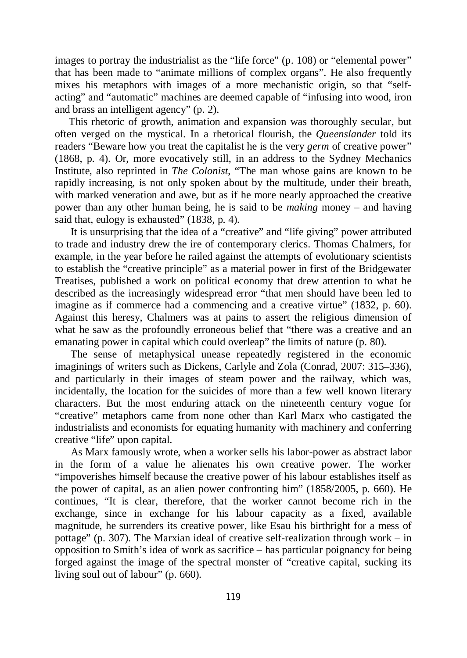images to portray the industrialist as the "life force" (p. 108) or "elemental power" that has been made to "animate millions of complex organs". He also frequently mixes his metaphors with images of a more mechanistic origin, so that "selfacting" and "automatic" machines are deemed capable of "infusing into wood, iron and brass an intelligent agency" (p. 2).

This rhetoric of growth, animation and expansion was thoroughly secular, but often verged on the mystical. In a rhetorical flourish, the *Queenslander* told its readers "Beware how you treat the capitalist he is the very *germ* of creative power" (1868, p. 4). Or, more evocatively still, in an address to the Sydney Mechanics Institute, also reprinted in *The Colonist*, "The man whose gains are known to be rapidly increasing, is not only spoken about by the multitude, under their breath, with marked veneration and awe, but as if he more nearly approached the creative power than any other human being, he is said to be *making* money – and having said that, eulogy is exhausted" (1838, p. 4).

 It is unsurprising that the idea of a "creative" and "life giving" power attributed to trade and industry drew the ire of contemporary clerics. Thomas Chalmers, for example, in the year before he railed against the attempts of evolutionary scientists to establish the "creative principle" as a material power in first of the Bridgewater Treatises, published a work on political economy that drew attention to what he described as the increasingly widespread error "that men should have been led to imagine as if commerce had a commencing and a creative virtue" (1832, p. 60). Against this heresy, Chalmers was at pains to assert the religious dimension of what he saw as the profoundly erroneous belief that "there was a creative and an emanating power in capital which could overleap" the limits of nature (p. 80).

 The sense of metaphysical unease repeatedly registered in the economic imaginings of writers such as Dickens, Carlyle and Zola (Conrad, 2007: 315–336), and particularly in their images of steam power and the railway, which was, incidentally, the location for the suicides of more than a few well known literary characters. But the most enduring attack on the nineteenth century vogue for "creative" metaphors came from none other than Karl Marx who castigated the industrialists and economists for equating humanity with machinery and conferring creative "life" upon capital.

 As Marx famously wrote, when a worker sells his labor-power as abstract labor in the form of a value he alienates his own creative power. The worker "impoverishes himself because the creative power of his labour establishes itself as the power of capital, as an alien power confronting him" (1858/2005, p. 660). He continues, "It is clear, therefore, that the worker cannot become rich in the exchange, since in exchange for his labour capacity as a fixed, available magnitude, he surrenders its creative power, like Esau his birthright for a mess of pottage" (p. 307). The Marxian ideal of creative self-realization through work – in opposition to Smith's idea of work as sacrifice – has particular poignancy for being forged against the image of the spectral monster of "creative capital, sucking its living soul out of labour" (p. 660).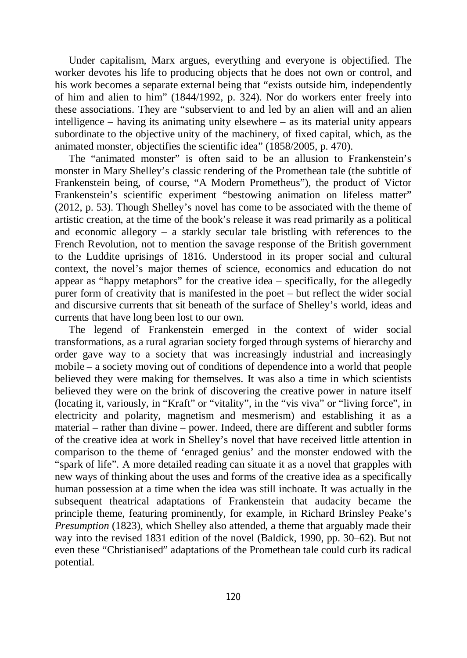Under capitalism, Marx argues, everything and everyone is objectified. The worker devotes his life to producing objects that he does not own or control, and his work becomes a separate external being that "exists outside him, independently of him and alien to him" (1844/1992, p. 324). Nor do workers enter freely into these associations. They are "subservient to and led by an alien will and an alien intelligence – having its animating unity elsewhere – as its material unity appears subordinate to the objective unity of the machinery, of fixed capital, which, as the animated monster, objectifies the scientific idea" (1858/2005, p. 470).

The "animated monster" is often said to be an allusion to Frankenstein's monster in Mary Shelley's classic rendering of the Promethean tale (the subtitle of Frankenstein being, of course, "A Modern Prometheus"), the product of Victor Frankenstein's scientific experiment "bestowing animation on lifeless matter" (2012, p. 53). Though Shelley's novel has come to be associated with the theme of artistic creation, at the time of the book's release it was read primarily as a political and economic allegory – a starkly secular tale bristling with references to the French Revolution, not to mention the savage response of the British government to the Luddite uprisings of 1816. Understood in its proper social and cultural context, the novel's major themes of science, economics and education do not appear as "happy metaphors" for the creative idea – specifically, for the allegedly purer form of creativity that is manifested in the poet – but reflect the wider social and discursive currents that sit beneath of the surface of Shelley's world, ideas and currents that have long been lost to our own.

The legend of Frankenstein emerged in the context of wider social transformations, as a rural agrarian society forged through systems of hierarchy and order gave way to a society that was increasingly industrial and increasingly mobile – a society moving out of conditions of dependence into a world that people believed they were making for themselves. It was also a time in which scientists believed they were on the brink of discovering the creative power in nature itself (locating it, variously, in "Kraft" or "vitality", in the "vis viva" or "living force", in electricity and polarity, magnetism and mesmerism) and establishing it as a material – rather than divine – power. Indeed, there are different and subtler forms of the creative idea at work in Shelley's novel that have received little attention in comparison to the theme of 'enraged genius' and the monster endowed with the "spark of life". A more detailed reading can situate it as a novel that grapples with new ways of thinking about the uses and forms of the creative idea as a specifically human possession at a time when the idea was still inchoate. It was actually in the subsequent theatrical adaptations of Frankenstein that audacity became the principle theme, featuring prominently, for example, in Richard Brinsley Peake's *Presumption* (1823), which Shelley also attended, a theme that arguably made their way into the revised 1831 edition of the novel (Baldick, 1990, pp. 30–62). But not even these "Christianised" adaptations of the Promethean tale could curb its radical potential.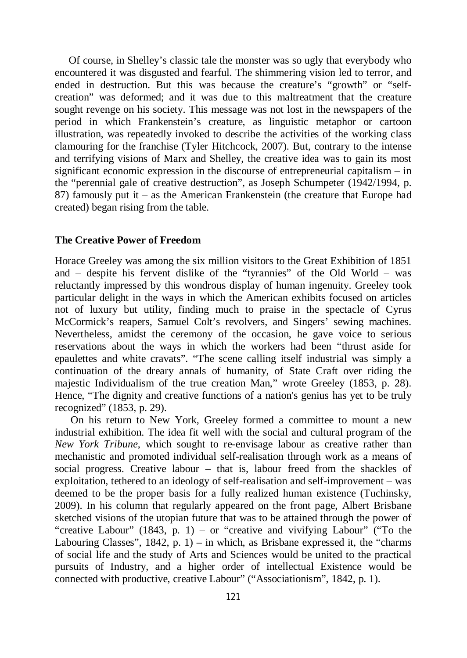Of course, in Shelley's classic tale the monster was so ugly that everybody who encountered it was disgusted and fearful. The shimmering vision led to terror, and ended in destruction. But this was because the creature's "growth" or "selfcreation" was deformed; and it was due to this maltreatment that the creature sought revenge on his society. This message was not lost in the newspapers of the period in which Frankenstein's creature, as linguistic metaphor or cartoon illustration, was repeatedly invoked to describe the activities of the working class clamouring for the franchise (Tyler Hitchcock, 2007). But, contrary to the intense and terrifying visions of Marx and Shelley, the creative idea was to gain its most significant economic expression in the discourse of entrepreneurial capitalism – in the "perennial gale of creative destruction", as Joseph Schumpeter (1942/1994, p. 87) famously put it – as the American Frankenstein (the creature that Europe had created) began rising from the table.

### **The Creative Power of Freedom**

Horace Greeley was among the six million visitors to the Great Exhibition of 1851 and – despite his fervent dislike of the "tyrannies" of the Old World – was reluctantly impressed by this wondrous display of human ingenuity. Greeley took particular delight in the ways in which the American exhibits focused on articles not of luxury but utility, finding much to praise in the spectacle of Cyrus McCormick's reapers, Samuel Colt's revolvers, and Singers' sewing machines. Nevertheless, amidst the ceremony of the occasion, he gave voice to serious reservations about the ways in which the workers had been "thrust aside for epaulettes and white cravats". "The scene calling itself industrial was simply a continuation of the dreary annals of humanity, of State Craft over riding the majestic Individualism of the true creation Man," wrote Greeley (1853, p. 28). Hence, "The dignity and creative functions of a nation's genius has yet to be truly recognized" (1853, p. 29).

 On his return to New York, Greeley formed a committee to mount a new industrial exhibition. The idea fit well with the social and cultural program of the *New York Tribune*, which sought to re-envisage labour as creative rather than mechanistic and promoted individual self-realisation through work as a means of social progress. Creative labour – that is, labour freed from the shackles of exploitation, tethered to an ideology of self-realisation and self-improvement – was deemed to be the proper basis for a fully realized human existence (Tuchinsky, 2009). In his column that regularly appeared on the front page, Albert Brisbane sketched visions of the utopian future that was to be attained through the power of "creative Labour" (1843, p. 1) – or "creative and vivifying Labour" ("To the Labouring Classes",  $1842$ , p. 1) – in which, as Brisbane expressed it, the "charms" of social life and the study of Arts and Sciences would be united to the practical pursuits of Industry, and a higher order of intellectual Existence would be connected with productive, creative Labour" ("Associationism", 1842, p. 1).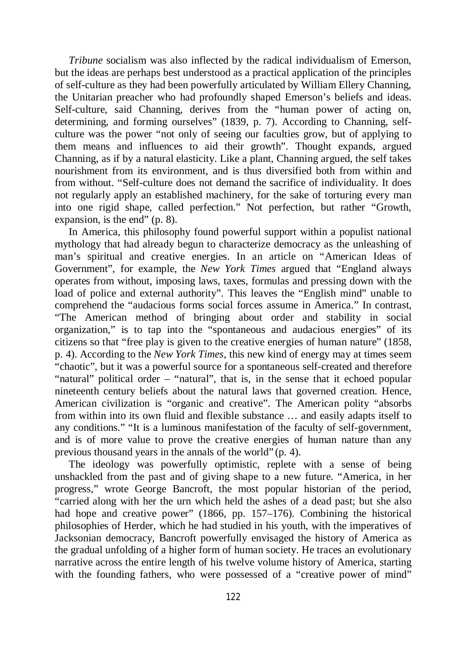*Tribune* socialism was also inflected by the radical individualism of Emerson, but the ideas are perhaps best understood as a practical application of the principles of self-culture as they had been powerfully articulated by William Ellery Channing, the Unitarian preacher who had profoundly shaped Emerson's beliefs and ideas. Self-culture, said Channing, derives from the "human power of acting on, determining, and forming ourselves" (1839, p. 7). According to Channing, selfculture was the power "not only of seeing our faculties grow, but of applying to them means and influences to aid their growth". Thought expands, argued Channing, as if by a natural elasticity. Like a plant, Channing argued, the self takes nourishment from its environment, and is thus diversified both from within and from without. "Self-culture does not demand the sacrifice of individuality. It does not regularly apply an established machinery, for the sake of torturing every man into one rigid shape, called perfection." Not perfection, but rather "Growth, expansion, is the end" (p. 8).

In America, this philosophy found powerful support within a populist national mythology that had already begun to characterize democracy as the unleashing of man's spiritual and creative energies. In an article on "American Ideas of Government", for example, the *New York Times* argued that "England always operates from without, imposing laws, taxes, formulas and pressing down with the load of police and external authority". This leaves the "English mind" unable to comprehend the "audacious forms social forces assume in America." In contrast, "The American method of bringing about order and stability in social organization," is to tap into the "spontaneous and audacious energies" of its citizens so that "free play is given to the creative energies of human nature" (1858, p. 4). According to the *New York Times*, this new kind of energy may at times seem "chaotic", but it was a powerful source for a spontaneous self-created and therefore "natural" political order – "natural", that is, in the sense that it echoed popular nineteenth century beliefs about the natural laws that governed creation. Hence, American civilization is "organic and creative". The American polity "absorbs from within into its own fluid and flexible substance … and easily adapts itself to any conditions." "It is a luminous manifestation of the faculty of self-government, and is of more value to prove the creative energies of human nature than any previous thousand years in the annals of the world" (p. 4).

The ideology was powerfully optimistic, replete with a sense of being unshackled from the past and of giving shape to a new future. "America, in her progress," wrote George Bancroft, the most popular historian of the period, "carried along with her the urn which held the ashes of a dead past; but she also had hope and creative power" (1866, pp. 157–176). Combining the historical philosophies of Herder, which he had studied in his youth, with the imperatives of Jacksonian democracy, Bancroft powerfully envisaged the history of America as the gradual unfolding of a higher form of human society. He traces an evolutionary narrative across the entire length of his twelve volume history of America, starting with the founding fathers, who were possessed of a "creative power of mind"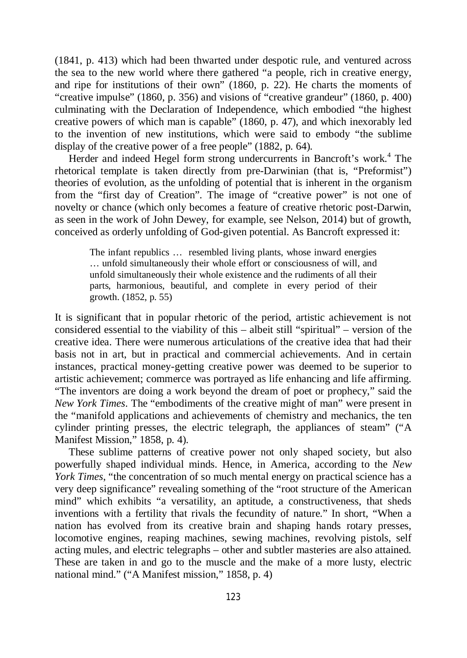(1841, p. 413) which had been thwarted under despotic rule, and ventured across the sea to the new world where there gathered "a people, rich in creative energy, and ripe for institutions of their own" (1860, p. 22). He charts the moments of "creative impulse" (1860, p. 356) and visions of "creative grandeur" (1860, p. 400) culminating with the Declaration of Independence, which embodied "the highest creative powers of which man is capable" (1860, p. 47), and which inexorably led to the invention of new institutions, which were said to embody "the sublime display of the creative power of a free people" (1882, p. 64).

Herder and indeed Hegel form strong undercurrents in Bancroft's work.<sup>4</sup> The rhetorical template is taken directly from pre-Darwinian (that is, "Preformist") theories of evolution, as the unfolding of potential that is inherent in the organism from the "first day of Creation". The image of "creative power" is not one of novelty or chance (which only becomes a feature of creative rhetoric post-Darwin, as seen in the work of John Dewey, for example, see Nelson, 2014) but of growth, conceived as orderly unfolding of God-given potential. As Bancroft expressed it:

The infant republics … resembled living plants, whose inward energies … unfold simultaneously their whole effort or consciousness of will, and unfold simultaneously their whole existence and the rudiments of all their parts, harmonious, beautiful, and complete in every period of their growth. (1852, p. 55)

It is significant that in popular rhetoric of the period, artistic achievement is not considered essential to the viability of this – albeit still "spiritual" – version of the creative idea. There were numerous articulations of the creative idea that had their basis not in art, but in practical and commercial achievements. And in certain instances, practical money-getting creative power was deemed to be superior to artistic achievement; commerce was portrayed as life enhancing and life affirming. "The inventors are doing a work beyond the dream of poet or prophecy," said the *New York Times*. The "embodiments of the creative might of man" were present in the "manifold applications and achievements of chemistry and mechanics, the ten cylinder printing presses, the electric telegraph, the appliances of steam" ("A Manifest Mission," 1858, p. 4).

These sublime patterns of creative power not only shaped society, but also powerfully shaped individual minds. Hence, in America, according to the *New York Times*, "the concentration of so much mental energy on practical science has a very deep significance" revealing something of the "root structure of the American mind" which exhibits "a versatility, an aptitude, a constructiveness, that sheds inventions with a fertility that rivals the fecundity of nature." In short, "When a nation has evolved from its creative brain and shaping hands rotary presses, locomotive engines, reaping machines, sewing machines, revolving pistols, self acting mules, and electric telegraphs – other and subtler masteries are also attained. These are taken in and go to the muscle and the make of a more lusty, electric national mind." ("A Manifest mission," 1858, p. 4)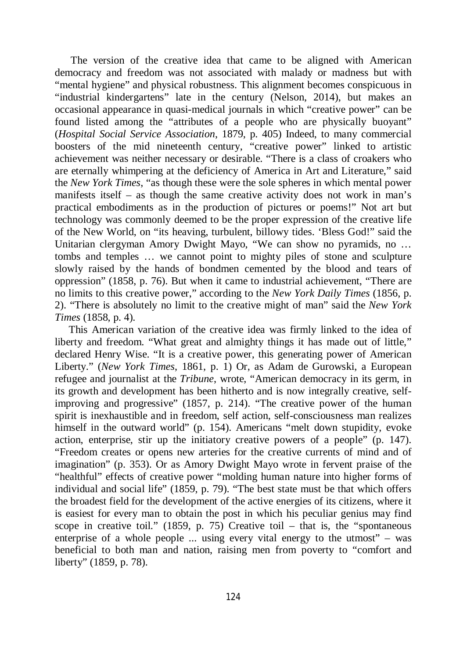The version of the creative idea that came to be aligned with American democracy and freedom was not associated with malady or madness but with "mental hygiene" and physical robustness. This alignment becomes conspicuous in "industrial kindergartens" late in the century (Nelson, 2014), but makes an occasional appearance in quasi-medical journals in which "creative power" can be found listed among the "attributes of a people who are physically buoyant" (*Hospital Social Service Association*, 1879, p. 405) Indeed, to many commercial boosters of the mid nineteenth century, "creative power" linked to artistic achievement was neither necessary or desirable. "There is a class of croakers who are eternally whimpering at the deficiency of America in Art and Literature," said the *New York Times*, "as though these were the sole spheres in which mental power manifests itself – as though the same creative activity does not work in man's practical embodiments as in the production of pictures or poems!" Not art but technology was commonly deemed to be the proper expression of the creative life of the New World, on "its heaving, turbulent, billowy tides. 'Bless God!" said the Unitarian clergyman Amory Dwight Mayo, "We can show no pyramids, no … tombs and temples … we cannot point to mighty piles of stone and sculpture slowly raised by the hands of bondmen cemented by the blood and tears of oppression" (1858, p. 76). But when it came to industrial achievement, "There are no limits to this creative power," according to the *New York Daily Times* (1856, p. 2). "There is absolutely no limit to the creative might of man" said the *New York Times* (1858, p. 4).

This American variation of the creative idea was firmly linked to the idea of liberty and freedom. "What great and almighty things it has made out of little," declared Henry Wise. "It is a creative power, this generating power of American Liberty." (*New York Times*, 1861, p. 1) Or, as Adam de Gurowski, a European refugee and journalist at the *Tribune*, wrote, "American democracy in its germ, in its growth and development has been hitherto and is now integrally creative, selfimproving and progressive" (1857, p. 214). "The creative power of the human spirit is inexhaustible and in freedom, self action, self-consciousness man realizes himself in the outward world" (p. 154). Americans "melt down stupidity, evoke action, enterprise, stir up the initiatory creative powers of a people" (p. 147). "Freedom creates or opens new arteries for the creative currents of mind and of imagination" (p. 353). Or as Amory Dwight Mayo wrote in fervent praise of the "healthful" effects of creative power "molding human nature into higher forms of individual and social life" (1859, p. 79). "The best state must be that which offers the broadest field for the development of the active energies of its citizens, where it is easiest for every man to obtain the post in which his peculiar genius may find scope in creative toil." (1859, p. 75) Creative toil – that is, the "spontaneous enterprise of a whole people ... using every vital energy to the utmost" – was beneficial to both man and nation, raising men from poverty to "comfort and liberty" (1859, p. 78).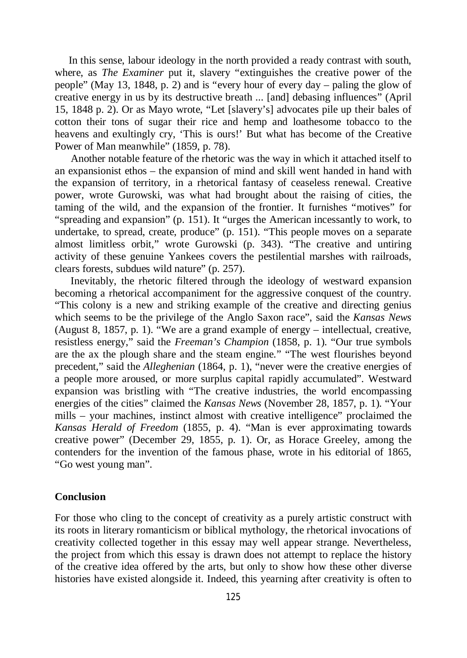In this sense, labour ideology in the north provided a ready contrast with south, where, as *The Examiner* put it, slavery "extinguishes the creative power of the people" (May 13, 1848, p. 2) and is "every hour of every day – paling the glow of creative energy in us by its destructive breath ... [and] debasing influences" (April 15, 1848 p. 2). Or as Mayo wrote, "Let [slavery's] advocates pile up their bales of cotton their tons of sugar their rice and hemp and loathesome tobacco to the heavens and exultingly cry, 'This is ours!' But what has become of the Creative Power of Man meanwhile" (1859, p. 78).

 Another notable feature of the rhetoric was the way in which it attached itself to an expansionist ethos – the expansion of mind and skill went handed in hand with the expansion of territory, in a rhetorical fantasy of ceaseless renewal. Creative power, wrote Gurowski, was what had brought about the raising of cities, the taming of the wild, and the expansion of the frontier. It furnishes "motives" for "spreading and expansion" (p. 151). It "urges the American incessantly to work, to undertake, to spread, create, produce" (p. 151). "This people moves on a separate almost limitless orbit," wrote Gurowski (p. 343). "The creative and untiring activity of these genuine Yankees covers the pestilential marshes with railroads, clears forests, subdues wild nature" (p. 257).

 Inevitably, the rhetoric filtered through the ideology of westward expansion becoming a rhetorical accompaniment for the aggressive conquest of the country. "This colony is a new and striking example of the creative and directing genius which seems to be the privilege of the Anglo Saxon race", said the *Kansas News* (August 8, 1857, p. 1). "We are a grand example of energy – intellectual, creative, resistless energy," said the *Freeman's Champion* (1858, p. 1). "Our true symbols are the ax the plough share and the steam engine." "The west flourishes beyond precedent," said the *Alleghenian* (1864, p. 1), "never were the creative energies of a people more aroused, or more surplus capital rapidly accumulated". Westward expansion was bristling with "The creative industries, the world encompassing energies of the cities" claimed the *Kansas News* (November 28, 1857, p. 1). "Your mills – your machines, instinct almost with creative intelligence" proclaimed the *Kansas Herald of Freedom* (1855, p. 4). "Man is ever approximating towards creative power" (December 29, 1855, p. 1). Or, as Horace Greeley, among the contenders for the invention of the famous phase, wrote in his editorial of 1865, "Go west young man".

### **Conclusion**

For those who cling to the concept of creativity as a purely artistic construct with its roots in literary romanticism or biblical mythology, the rhetorical invocations of creativity collected together in this essay may well appear strange. Nevertheless, the project from which this essay is drawn does not attempt to replace the history of the creative idea offered by the arts, but only to show how these other diverse histories have existed alongside it. Indeed, this yearning after creativity is often to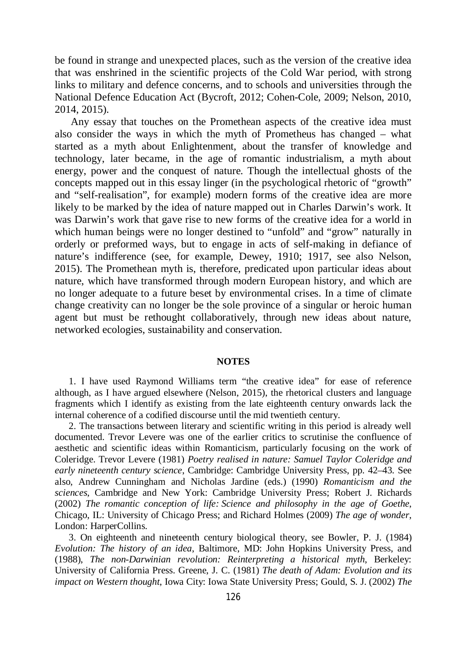be found in strange and unexpected places, such as the version of the creative idea that was enshrined in the scientific projects of the Cold War period, with strong links to military and defence concerns, and to schools and universities through the National Defence Education Act (Bycroft, 2012; Cohen-Cole, 2009; Nelson, 2010, 2014, 2015).

 Any essay that touches on the Promethean aspects of the creative idea must also consider the ways in which the myth of Prometheus has changed – what started as a myth about Enlightenment, about the transfer of knowledge and technology, later became, in the age of romantic industrialism, a myth about energy, power and the conquest of nature. Though the intellectual ghosts of the concepts mapped out in this essay linger (in the psychological rhetoric of "growth" and "self-realisation", for example) modern forms of the creative idea are more likely to be marked by the idea of nature mapped out in Charles Darwin's work. It was Darwin's work that gave rise to new forms of the creative idea for a world in which human beings were no longer destined to "unfold" and "grow" naturally in orderly or preformed ways, but to engage in acts of self-making in defiance of nature's indifference (see, for example, Dewey, 1910; 1917, see also Nelson, 2015). The Promethean myth is, therefore, predicated upon particular ideas about nature, which have transformed through modern European history, and which are no longer adequate to a future beset by environmental crises. In a time of climate change creativity can no longer be the sole province of a singular or heroic human agent but must be rethought collaboratively, through new ideas about nature, networked ecologies, sustainability and conservation.

#### **NOTES**

1. I have used Raymond Williams term "the creative idea" for ease of reference although, as I have argued elsewhere (Nelson, 2015), the rhetorical clusters and language fragments which I identify as existing from the late eighteenth century onwards lack the internal coherence of a codified discourse until the mid twentieth century.

2. The transactions between literary and scientific writing in this period is already well documented. Trevor Levere was one of the earlier critics to scrutinise the confluence of aesthetic and scientific ideas within Romanticism, particularly focusing on the work of Coleridge. Trevor Levere (1981) *Poetry realised in nature: Samuel Taylor Coleridge and early nineteenth century science*, Cambridge: Cambridge University Press, pp. 42–43. See also, Andrew Cunningham and Nicholas Jardine (eds.) (1990) *Romanticism and the sciences*, Cambridge and New York: Cambridge University Press; Robert J. Richards (2002) *The romantic conception of life: Science and philosophy in the age of Goethe*, Chicago, IL: University of Chicago Press; and Richard Holmes (2009) *The age of wonder*, London: HarperCollins.

3. On eighteenth and nineteenth century biological theory, see Bowler, P. J. (1984) *Evolution: The history of an idea*, Baltimore, MD: John Hopkins University Press, and (1988), *The non-Darwinian revolution: Reinterpreting a historical myth*, Berkeley: University of California Press. Greene, J. C. (1981) *The death of Adam: Evolution and its impact on Western thought*, Iowa City: Iowa State University Press; Gould, S. J. (2002) *The*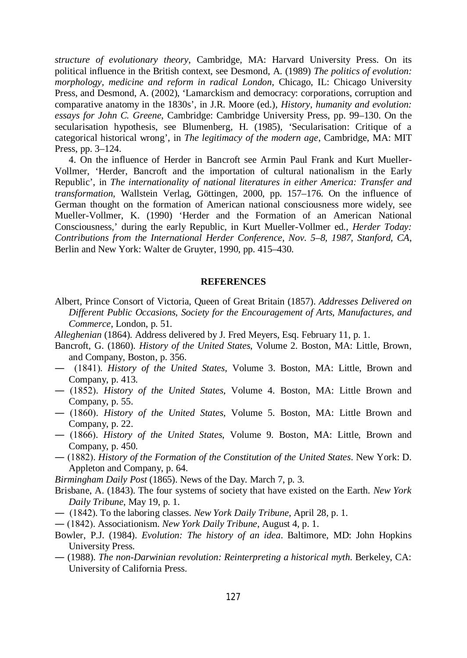*structure of evolutionary theory*, Cambridge, MA: Harvard University Press. On its political influence in the British context, see Desmond, A. (1989) *The politics of evolution: morphology, medicine and reform in radical London*, Chicago, IL: Chicago University Press, and Desmond, A. (2002), 'Lamarckism and democracy: corporations, corruption and comparative anatomy in the 1830s', in J.R. Moore (ed.), *History, humanity and evolution: essays for John C. Greene*, Cambridge: Cambridge University Press, pp. 99–130. On the secularisation hypothesis, see Blumenberg, H. (1985), 'Secularisation: Critique of a categorical historical wrong', in *The legitimacy of the modern age*, Cambridge, MA: MIT Press, pp. 3–124.

4. On the influence of Herder in Bancroft see Armin Paul Frank and Kurt Mueller-Vollmer, 'Herder, Bancroft and the importation of cultural nationalism in the Early Republic', in *The internationality of national literatures in either America: Transfer and transformation*, Wallstein Verlag, Göttingen, 2000, pp. 157–176. On the influence of German thought on the formation of American national consciousness more widely, see Mueller-Vollmer, K. (1990) 'Herder and the Formation of an American National Consciousness,' during the early Republic, in Kurt Mueller-Vollmer ed., *Herder Today: Contributions from the International Herder Conference, Nov. 5–8, 1987, Stanford, CA*, Berlin and New York: Walter de Gruyter, 1990, pp. 415–430.

#### **REFERENCES**

- Albert, Prince Consort of Victoria, Queen of Great Britain (1857). *Addresses Delivered on Different Public Occasions, Society for the Encouragement of Arts, Manufactures, and Commerce*, London, p. 51.
- *Alleghenian* (1864). Address delivered by J. Fred Meyers, Esq. February 11, p. 1.
- Bancroft, G. (1860). *History of the United States*, Volume 2. Boston, MA: Little, Brown, and Company, Boston, p. 356.
- ― (1841). *History of the United States*, Volume 3. Boston, MA: Little, Brown and Company, p. 413.
- ― (1852). *History of the United States*, Volume 4. Boston, MA: Little Brown and Company, p. 55.
- ― (1860). *History of the United States*, Volume 5. Boston, MA: Little Brown and Company, p. 22.
- ― (1866). *History of the United States*, Volume 9. Boston, MA: Little, Brown and Company, p. 450.
- ― (1882). *History of the Formation of the Constitution of the United States*. New York: D. Appleton and Company, p. 64.
- *Birmingham Daily Post* (1865). News of the Day. March 7, p. 3.
- Brisbane, A. (1843). The four systems of society that have existed on the Earth. *New York Daily Tribune*, May 19, p. 1.
- ― (1842). To the laboring classes. *New York Daily Tribune*, April 28, p. 1.
- ― (1842). Associationism. *New York Daily Tribune*, August 4, p. 1.
- Bowler, P.J. (1984). *Evolution: The history of an idea*. Baltimore, MD: John Hopkins University Press.
- ― (1988). *The non-Darwinian revolution: Reinterpreting a historical myth*. Berkeley, CA: University of California Press.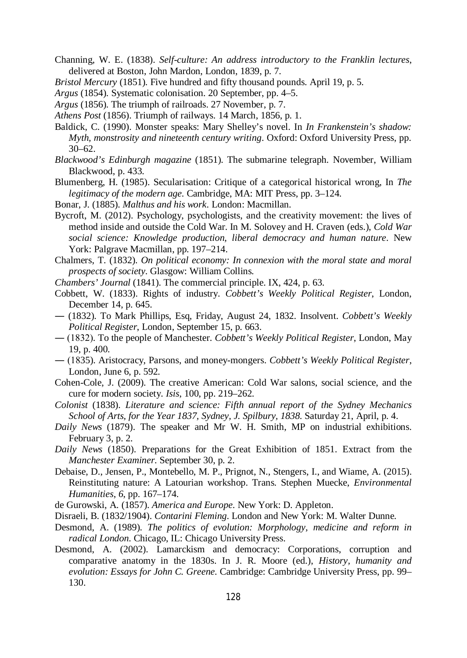- Channing, W. E. (1838). *Self-culture: An address introductory to the Franklin lectures*, delivered at Boston, John Mardon, London, 1839, p. 7.
- *Bristol Mercury* (1851). Five hundred and fifty thousand pounds. April 19, p. 5.
- *Argus* (1854). Systematic colonisation. 20 September, pp. 4–5.
- *Argus* (1856). The triumph of railroads. 27 November, p. 7.
- *Athens Post* (1856). Triumph of railways. 14 March, 1856, p. 1.
- Baldick, C. (1990). Monster speaks: Mary Shelley's novel. In *In Frankenstein's shadow: Myth, monstrosity and nineteenth century writing*. Oxford: Oxford University Press, pp. 30–62.
- *Blackwood's Edinburgh magazine* (1851). The submarine telegraph. November, William Blackwood, p. 433.
- Blumenberg, H. (1985). Secularisation: Critique of a categorical historical wrong, In *The legitimacy of the modern age*. Cambridge, MA: MIT Press, pp. 3–124.
- Bonar, J. (1885). *Malthus and his work*. London: Macmillan.
- Bycroft, M. (2012). Psychology, psychologists, and the creativity movement: the lives of method inside and outside the Cold War. In M. Solovey and H. Craven (eds.), *Cold War social science: Knowledge production, liberal democracy and human nature*. New York: Palgrave Macmillan, pp. 197–214.
- Chalmers, T. (1832). *On political economy: In connexion with the moral state and moral prospects of society*. Glasgow: William Collins.
- *Chambers' Journal* (1841). The commercial principle. IX, 424, p. 63.
- Cobbett, W. (1833). Rights of industry. *Cobbett's Weekly Political Register*, London, December 14, p. 645.
- ― (1832). To Mark Phillips, Esq, Friday, August 24, 1832. Insolvent. *Cobbett's Weekly Political Register*, London, September 15, p. 663.
- ― (1832). To the people of Manchester. *Cobbett's Weekly Political Register*, London, May 19, p. 400.
- ― (1835). Aristocracy, Parsons, and money-mongers. *Cobbett's Weekly Political Register*, London, June 6, p. 592.
- Cohen-Cole, J. (2009). The creative American: Cold War salons, social science, and the cure for modern society. *Isis*, 100, pp. 219–262.
- *Colonist* (1838). *Literature and science: Fifth annual report of the Sydney Mechanics School of Arts, for the Year 1837, Sydney, J. Spilbury, 1838*. Saturday 21, April, p. 4.
- *Daily News* (1879). The speaker and Mr W. H. Smith, MP on industrial exhibitions. February 3, p. 2.
- *Daily News* (1850). Preparations for the Great Exhibition of 1851. Extract from the *Manchester Examiner*. September 30, p. 2.
- Debaise, D., Jensen, P., Montebello, M. P., Prignot, N., Stengers, I., and Wiame, A. (2015). Reinstituting nature: A Latourian workshop. Trans. Stephen Muecke, *Environmental Humanities*, *6*, pp. 167–174.
- de Gurowski, A. (1857). *America and Europe*. New York: D. Appleton.
- Disraeli, B. (1832/1904). *Contarini Fleming*. London and New York: M. Walter Dunne.
- Desmond, A. (1989). *The politics of evolution: Morphology, medicine and reform in radical London*. Chicago, IL: Chicago University Press.
- Desmond, A. (2002). Lamarckism and democracy: Corporations, corruption and comparative anatomy in the 1830s. In J. R. Moore (ed.), *History, humanity and evolution: Essays for John C. Greene*. Cambridge: Cambridge University Press, pp. 99– 130.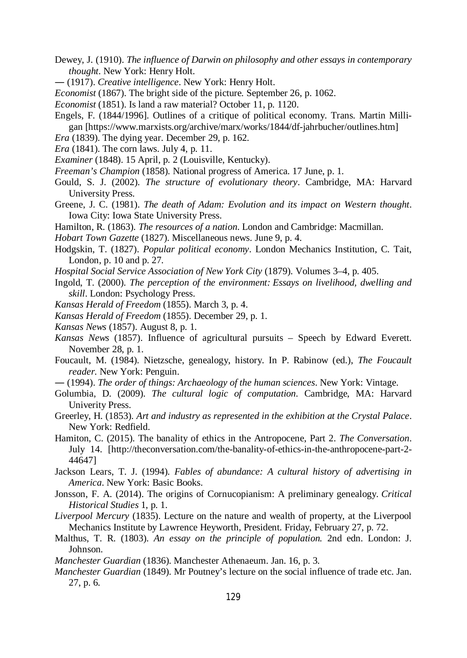- Dewey, J. (1910). *The influence of Darwin on philosophy and other essays in contemporary thought*. New York: Henry Holt.
- ― (1917). *Creative intelligence*. New York: Henry Holt.
- *Economist* (1867). The bright side of the picture. September 26, p. 1062.
- *Economist* (1851). Is land a raw material? October 11, p. 1120.
- Engels, F. (1844/1996]. Outlines of a critique of political economy. Trans. Martin Milligan [https://www.marxists.org/archive/marx/works/1844/df-jahrbucher/outlines.htm]
- *Era* (1839). The dying year. December 29, p. 162.
- *Era* (1841). The corn laws. July 4, p. 11.
- *Examiner* (1848). 15 April, p. 2 (Louisville, Kentucky).
- *Freeman's Champion* (1858). National progress of America. 17 June, p. 1.
- Gould, S. J. (2002). *The structure of evolutionary theory*. Cambridge, MA: Harvard University Press.
- Greene, J. C. (1981). *The death of Adam: Evolution and its impact on Western thought*. Iowa City: Iowa State University Press.
- Hamilton, R. (1863). *The resources of a nation*. London and Cambridge: Macmillan.
- *Hobart Town Gazette* (1827). Miscellaneous news. June 9, p. 4.
- Hodgskin, T. (1827). *Popular political economy*. London Mechanics Institution, C. Tait, London, p. 10 and p. 27.
- *Hospital Social Service Association of New York City* (1879). Volumes 3–4, p. 405.
- Ingold, T. (2000). *The perception of the environment: Essays on livelihood, dwelling and skill*. London: Psychology Press.
- *Kansas Herald of Freedom* (1855). March 3, p. 4.
- *Kansas Herald of Freedom* (1855). December 29, p. 1.
- *Kansas News* (1857). August 8, p. 1.
- *Kansas News* (1857). Influence of agricultural pursuits Speech by Edward Everett. November 28, p. 1.
- Foucault, M. (1984). Nietzsche, genealogy, history. In P. Rabinow (ed.), *The Foucault reader*. New York: Penguin.
- ― (1994). *The order of things: Archaeology of the human sciences*. New York: Vintage.
- Golumbia, D. (2009). *The cultural logic of computation*. Cambridge, MA: Harvard Univerity Press.
- Greerley, H. (1853). *Art and industry as represented in the exhibition at the Crystal Palace*. New York: Redfield.
- Hamiton, C. (2015). The banality of ethics in the Antropocene, Part 2. *The Conversation*. July 14. [http://theconversation.com/the-banality-of-ethics-in-the-anthropocene-part-2- 44647]
- Jackson Lears, T. J. (1994). *Fables of abundance: A cultural history of advertising in America*. New York: Basic Books.
- Jonsson, F. A. (2014). The origins of Cornucopianism: A preliminary genealogy. *Critical Historical Studies* 1, p. 1.
- *Liverpool Mercury* (1835). Lecture on the nature and wealth of property, at the Liverpool Mechanics Institute by Lawrence Heyworth, President. Friday, February 27, p. 72.
- Malthus, T. R. (1803). *An essay on the principle of population.* 2nd edn. London: J. Johnson.
- *Manchester Guardian* (1836). Manchester Athenaeum. Jan. 16, p. 3.
- *Manchester Guardian* (1849). Mr Poutney's lecture on the social influence of trade etc. Jan. 27, p. 6.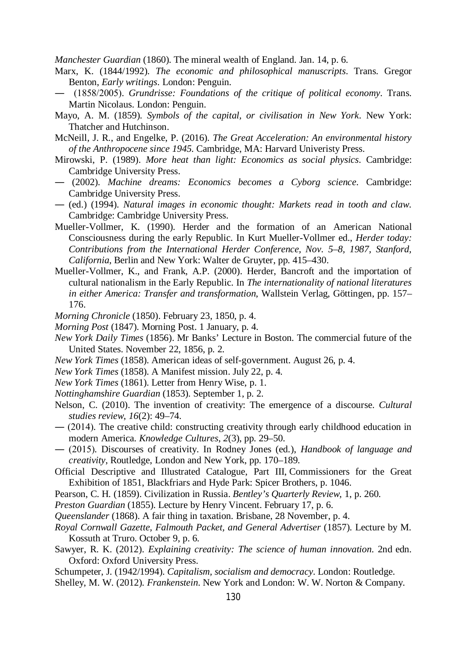*Manchester Guardian* (1860). The mineral wealth of England. Jan. 14, p. 6.

- Marx, K. (1844/1992). *The economic and philosophical manuscripts*. Trans. Gregor Benton, *Early writings*. London: Penguin.
- ― (1858/2005). *Grundrisse: Foundations of the critique of political economy*. Trans. Martin Nicolaus. London: Penguin.
- Mayo, A. M. (1859). *Symbols of the capital, or civilisation in New York*. New York: Thatcher and Hutchinson.
- McNeill, J. R., and Engelke, P. (2016). *The Great Acceleration: An environmental history of the Anthropocene since 1945*. Cambridge, MA: Harvard Univeristy Press.
- Mirowski, P. (1989). *More heat than light: Economics as social physics*. Cambridge: Cambridge University Press.
- ― (2002). *Machine dreams: Economics becomes a Cyborg science*. Cambridge: Cambridge University Press.
- ― (ed.) (1994). *Natural images in economic thought: Markets read in tooth and claw*. Cambridge: Cambridge University Press.
- Mueller-Vollmer, K. (1990). Herder and the formation of an American National Consciousness during the early Republic. In Kurt Mueller-Vollmer ed., *Herder today: Contributions from the International Herder Conference, Nov. 5–8, 1987, Stanford, California*, Berlin and New York: Walter de Gruyter, pp. 415*–*430.
- Mueller-Vollmer, K., and Frank, A.P. (2000). Herder, Bancroft and the importation of cultural nationalism in the Early Republic. In *The internationality of national literatures in either America: Transfer and transformation*, Wallstein Verlag, Göttingen, pp. 157*–* 176.
- *Morning Chronicle* (1850). February 23, 1850, p. 4.
- *Morning Post* (1847). Morning Post. 1 January, p. 4.
- *New York Daily Times* (1856). Mr Banks' Lecture in Boston. The commercial future of the United States. November 22, 1856, p. 2.
- *New York Times* (1858). American ideas of self-government. August 26, p. 4.
- *New York Times* (1858). A Manifest mission. July 22, p. 4.
- *New York Times* (1861). Letter from Henry Wise, p. 1.
- *Nottinghamshire Guardian* (1853). September 1, p. 2.
- Nelson, C. (2010). The invention of creativity: The emergence of a discourse. *Cultural studies review*, *16*(2): 49–74.
- ― (2014). The creative child: constructing creativity through early childhood education in modern America. *Knowledge Cultures*, *2*(3), pp. 29–50.
- ― (2015). Discourses of creativity. In Rodney Jones (ed.), *Handbook of language and creativity*, Routledge, London and New York, pp. 170–189.
- Official Descriptive and Illustrated Catalogue, Part III, Commissioners for the Great Exhibition of 1851, Blackfriars and Hyde Park: Spicer Brothers, p. 1046.
- Pearson, C. H. (1859). Civilization in Russia. *Bentley's Quarterly Review*, 1, p. 260.
- *Preston Guardian* (1855). Lecture by Henry Vincent. February 17, p. 6.
- *Queenslander* (1868). A fair thing in taxation. Brisbane, 28 November, p. 4.
- *Royal Cornwall Gazette, Falmouth Packet, and General Advertiser* (1857). Lecture by M. Kossuth at Truro. October 9, p. 6.
- Sawyer, R. K. (2012). *Explaining creativity: The science of human innovation*. 2nd edn. Oxford: Oxford University Press.

Schumpeter, J. (1942/1994). *Capitalism, socialism and democracy*. London: Routledge.

Shelley, M. W. (2012). *Frankenstein*. New York and London: W. W. Norton & Company.